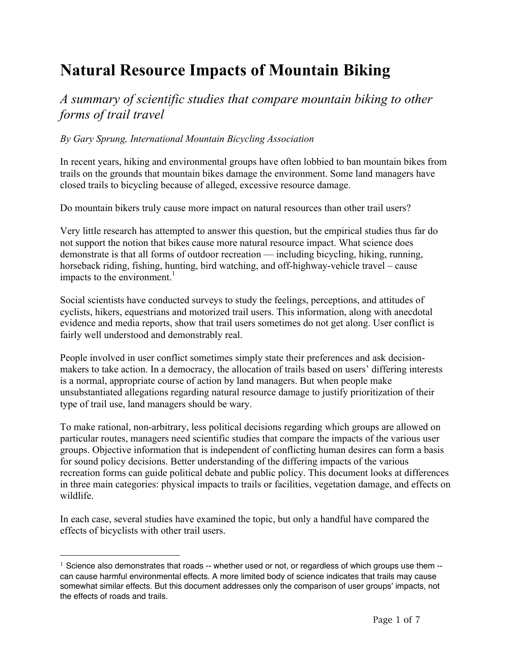# **Natural Resource Impacts of Mountain Biking**

*A summary of scientific studies that compare mountain biking to other forms of trail travel*

#### *By Gary Sprung, International Mountain Bicycling Association*

In recent years, hiking and environmental groups have often lobbied to ban mountain bikes from trails on the grounds that mountain bikes damage the environment. Some land managers have closed trails to bicycling because of alleged, excessive resource damage.

Do mountain bikers truly cause more impact on natural resources than other trail users?

Very little research has attempted to answer this question, but the empirical studies thus far do not support the notion that bikes cause more natural resource impact. What science does demonstrate is that all forms of outdoor recreation — including bicycling, hiking, running, horseback riding, fishing, hunting, bird watching, and off-highway-vehicle travel – cause impacts to the environment.<sup>1</sup>

Social scientists have conducted surveys to study the feelings, perceptions, and attitudes of cyclists, hikers, equestrians and motorized trail users. This information, along with anecdotal evidence and media reports, show that trail users sometimes do not get along. User conflict is fairly well understood and demonstrably real.

People involved in user conflict sometimes simply state their preferences and ask decisionmakers to take action. In a democracy, the allocation of trails based on users' differing interests is a normal, appropriate course of action by land managers. But when people make unsubstantiated allegations regarding natural resource damage to justify prioritization of their type of trail use, land managers should be wary.

To make rational, non-arbitrary, less political decisions regarding which groups are allowed on particular routes, managers need scientific studies that compare the impacts of the various user groups. Objective information that is independent of conflicting human desires can form a basis for sound policy decisions. Better understanding of the differing impacts of the various recreation forms can guide political debate and public policy. This document looks at differences in three main categories: physical impacts to trails or facilities, vegetation damage, and effects on wildlife.

In each case, several studies have examined the topic, but only a handful have compared the effects of bicyclists with other trail users.

-

 $1$  Science also demonstrates that roads -- whether used or not, or regardless of which groups use them  $$ can cause harmful environmental effects. A more limited body of science indicates that trails may cause somewhat similar effects. But this document addresses only the comparison of user groups' impacts, not the effects of roads and trails.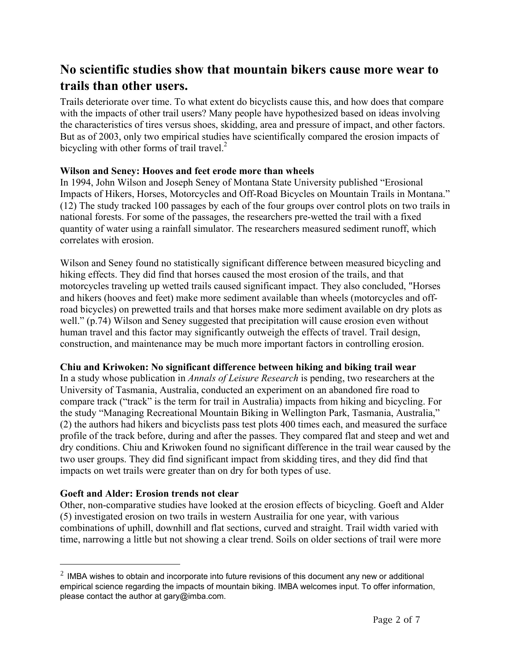## **No scientific studies show that mountain bikers cause more wear to trails than other users.**

Trails deteriorate over time. To what extent do bicyclists cause this, and how does that compare with the impacts of other trail users? Many people have hypothesized based on ideas involving the characteristics of tires versus shoes, skidding, area and pressure of impact, and other factors. But as of 2003, only two empirical studies have scientifically compared the erosion impacts of bicycling with other forms of trail travel.<sup>2</sup>

#### **Wilson and Seney: Hooves and feet erode more than wheels**

In 1994, John Wilson and Joseph Seney of Montana State University published "Erosional Impacts of Hikers, Horses, Motorcycles and Off-Road Bicycles on Mountain Trails in Montana." (12) The study tracked 100 passages by each of the four groups over control plots on two trails in national forests. For some of the passages, the researchers pre-wetted the trail with a fixed quantity of water using a rainfall simulator. The researchers measured sediment runoff, which correlates with erosion.

Wilson and Seney found no statistically significant difference between measured bicycling and hiking effects. They did find that horses caused the most erosion of the trails, and that motorcycles traveling up wetted trails caused significant impact. They also concluded, "Horses and hikers (hooves and feet) make more sediment available than wheels (motorcycles and offroad bicycles) on prewetted trails and that horses make more sediment available on dry plots as well." (p.74) Wilson and Seney suggested that precipitation will cause erosion even without human travel and this factor may significantly outweigh the effects of travel. Trail design, construction, and maintenance may be much more important factors in controlling erosion.

#### **Chiu and Kriwoken: No significant difference between hiking and biking trail wear**

In a study whose publication in *Annals of Leisure Research* is pending, two researchers at the University of Tasmania, Australia, conducted an experiment on an abandoned fire road to compare track ("track" is the term for trail in Australia) impacts from hiking and bicycling. For the study "Managing Recreational Mountain Biking in Wellington Park, Tasmania, Australia," (2) the authors had hikers and bicyclists pass test plots 400 times each, and measured the surface profile of the track before, during and after the passes. They compared flat and steep and wet and dry conditions. Chiu and Kriwoken found no significant difference in the trail wear caused by the two user groups. They did find significant impact from skidding tires, and they did find that impacts on wet trails were greater than on dry for both types of use.

#### **Goeft and Alder: Erosion trends not clear**

 $\overline{a}$ 

Other, non-comparative studies have looked at the erosion effects of bicycling. Goeft and Alder (5) investigated erosion on two trails in western Austrailia for one year, with various combinations of uphill, downhill and flat sections, curved and straight. Trail width varied with time, narrowing a little but not showing a clear trend. Soils on older sections of trail were more

 $<sup>2</sup>$  IMBA wishes to obtain and incorporate into future revisions of this document any new or additional</sup> empirical science regarding the impacts of mountain biking. IMBA welcomes input. To offer information, please contact the author at gary@imba.com.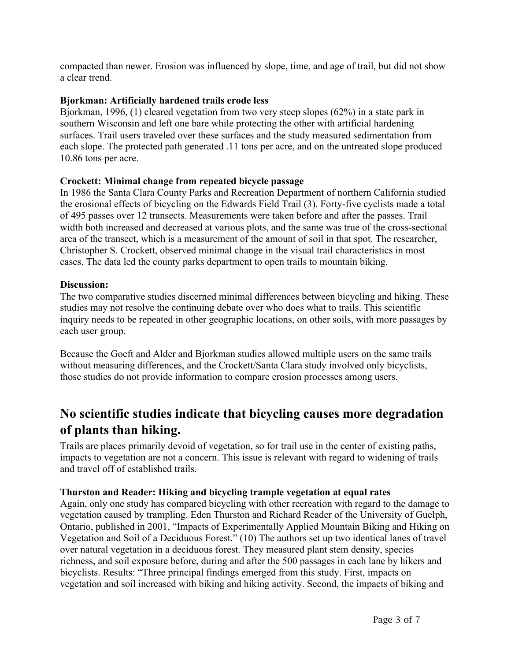compacted than newer. Erosion was influenced by slope, time, and age of trail, but did not show a clear trend.

#### **Bjorkman: Artificially hardened trails erode less**

Bjorkman, 1996, (1) cleared vegetation from two very steep slopes (62%) in a state park in southern Wisconsin and left one bare while protecting the other with artificial hardening surfaces. Trail users traveled over these surfaces and the study measured sedimentation from each slope. The protected path generated .11 tons per acre, and on the untreated slope produced 10.86 tons per acre.

#### **Crockett: Minimal change from repeated bicycle passage**

In 1986 the Santa Clara County Parks and Recreation Department of northern California studied the erosional effects of bicycling on the Edwards Field Trail (3). Forty-five cyclists made a total of 495 passes over 12 transects. Measurements were taken before and after the passes. Trail width both increased and decreased at various plots, and the same was true of the cross-sectional area of the transect, which is a measurement of the amount of soil in that spot. The researcher, Christopher S. Crockett, observed minimal change in the visual trail characteristics in most cases. The data led the county parks department to open trails to mountain biking.

#### **Discussion:**

The two comparative studies discerned minimal differences between bicycling and hiking. These studies may not resolve the continuing debate over who does what to trails. This scientific inquiry needs to be repeated in other geographic locations, on other soils, with more passages by each user group.

Because the Goeft and Alder and Bjorkman studies allowed multiple users on the same trails without measuring differences, and the Crockett/Santa Clara study involved only bicyclists, those studies do not provide information to compare erosion processes among users.

## **No scientific studies indicate that bicycling causes more degradation of plants than hiking.**

Trails are places primarily devoid of vegetation, so for trail use in the center of existing paths, impacts to vegetation are not a concern. This issue is relevant with regard to widening of trails and travel off of established trails.

#### **Thurston and Reader: Hiking and bicycling trample vegetation at equal rates**

Again, only one study has compared bicycling with other recreation with regard to the damage to vegetation caused by trampling. Eden Thurston and Richard Reader of the University of Guelph, Ontario, published in 2001, "Impacts of Experimentally Applied Mountain Biking and Hiking on Vegetation and Soil of a Deciduous Forest." (10) The authors set up two identical lanes of travel over natural vegetation in a deciduous forest. They measured plant stem density, species richness, and soil exposure before, during and after the 500 passages in each lane by hikers and bicyclists. Results: "Three principal findings emerged from this study. First, impacts on vegetation and soil increased with biking and hiking activity. Second, the impacts of biking and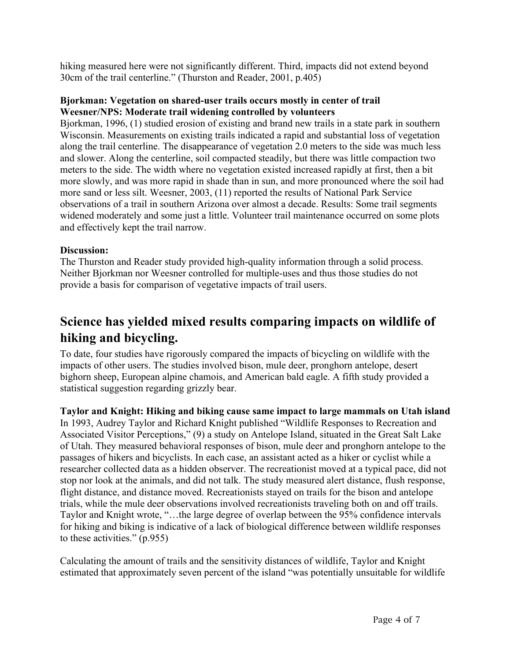hiking measured here were not significantly different. Third, impacts did not extend beyond 30cm of the trail centerline." (Thurston and Reader, 2001, p.405)

#### **Bjorkman: Vegetation on shared-user trails occurs mostly in center of trail Weesner/NPS: Moderate trail widening controlled by volunteers**

Bjorkman, 1996, (1) studied erosion of existing and brand new trails in a state park in southern Wisconsin. Measurements on existing trails indicated a rapid and substantial loss of vegetation along the trail centerline. The disappearance of vegetation 2.0 meters to the side was much less and slower. Along the centerline, soil compacted steadily, but there was little compaction two meters to the side. The width where no vegetation existed increased rapidly at first, then a bit more slowly, and was more rapid in shade than in sun, and more pronounced where the soil had more sand or less silt. Weesner, 2003, (11) reported the results of National Park Service observations of a trail in southern Arizona over almost a decade. Results: Some trail segments widened moderately and some just a little. Volunteer trail maintenance occurred on some plots and effectively kept the trail narrow.

#### **Discussion:**

The Thurston and Reader study provided high-quality information through a solid process. Neither Bjorkman nor Weesner controlled for multiple-uses and thus those studies do not provide a basis for comparison of vegetative impacts of trail users.

# **Science has yielded mixed results comparing impacts on wildlife of hiking and bicycling.**

To date, four studies have rigorously compared the impacts of bicycling on wildlife with the impacts of other users. The studies involved bison, mule deer, pronghorn antelope, desert bighorn sheep, European alpine chamois, and American bald eagle. A fifth study provided a statistical suggestion regarding grizzly bear.

**Taylor and Knight: Hiking and biking cause same impact to large mammals on Utah island** In 1993, Audrey Taylor and Richard Knight published "Wildlife Responses to Recreation and Associated Visitor Perceptions," (9) a study on Antelope Island, situated in the Great Salt Lake of Utah. They measured behavioral responses of bison, mule deer and pronghorn antelope to the passages of hikers and bicyclists. In each case, an assistant acted as a hiker or cyclist while a researcher collected data as a hidden observer. The recreationist moved at a typical pace, did not stop nor look at the animals, and did not talk. The study measured alert distance, flush response, flight distance, and distance moved. Recreationists stayed on trails for the bison and antelope trials, while the mule deer observations involved recreationists traveling both on and off trails. Taylor and Knight wrote, "…the large degree of overlap between the 95% confidence intervals for hiking and biking is indicative of a lack of biological difference between wildlife responses to these activities." (p.955)

Calculating the amount of trails and the sensitivity distances of wildlife, Taylor and Knight estimated that approximately seven percent of the island "was potentially unsuitable for wildlife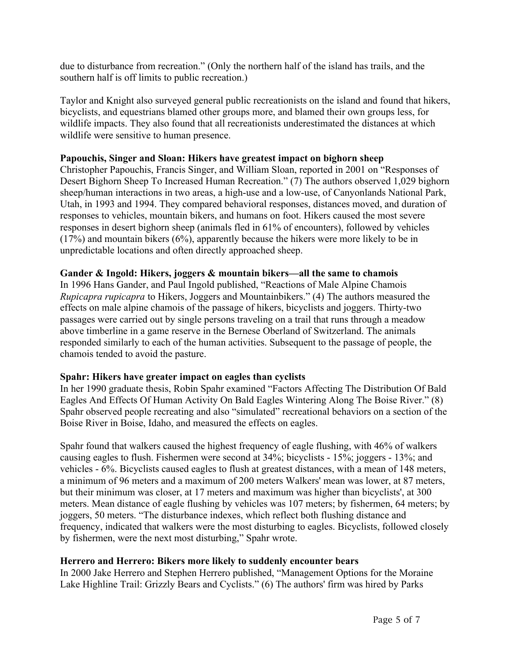due to disturbance from recreation." (Only the northern half of the island has trails, and the southern half is off limits to public recreation.)

Taylor and Knight also surveyed general public recreationists on the island and found that hikers, bicyclists, and equestrians blamed other groups more, and blamed their own groups less, for wildlife impacts. They also found that all recreationists underestimated the distances at which wildlife were sensitive to human presence.

#### **Papouchis, Singer and Sloan: Hikers have greatest impact on bighorn sheep**

Christopher Papouchis, Francis Singer, and William Sloan, reported in 2001 on "Responses of Desert Bighorn Sheep To Increased Human Recreation." (7) The authors observed 1,029 bighorn sheep/human interactions in two areas, a high-use and a low-use, of Canyonlands National Park, Utah, in 1993 and 1994. They compared behavioral responses, distances moved, and duration of responses to vehicles, mountain bikers, and humans on foot. Hikers caused the most severe responses in desert bighorn sheep (animals fled in 61% of encounters), followed by vehicles (17%) and mountain bikers (6%), apparently because the hikers were more likely to be in unpredictable locations and often directly approached sheep.

#### **Gander & Ingold: Hikers, joggers & mountain bikers—all the same to chamois**

In 1996 Hans Gander, and Paul Ingold published, "Reactions of Male Alpine Chamois *Rupicapra rupicapra* to Hikers, Joggers and Mountainbikers." (4) The authors measured the effects on male alpine chamois of the passage of hikers, bicyclists and joggers. Thirty-two passages were carried out by single persons traveling on a trail that runs through a meadow above timberline in a game reserve in the Bernese Oberland of Switzerland. The animals responded similarly to each of the human activities. Subsequent to the passage of people, the chamois tended to avoid the pasture.

#### **Spahr: Hikers have greater impact on eagles than cyclists**

In her 1990 graduate thesis, Robin Spahr examined "Factors Affecting The Distribution Of Bald Eagles And Effects Of Human Activity On Bald Eagles Wintering Along The Boise River." (8) Spahr observed people recreating and also "simulated" recreational behaviors on a section of the Boise River in Boise, Idaho, and measured the effects on eagles.

Spahr found that walkers caused the highest frequency of eagle flushing, with 46% of walkers causing eagles to flush. Fishermen were second at 34%; bicyclists - 15%; joggers - 13%; and vehicles - 6%. Bicyclists caused eagles to flush at greatest distances, with a mean of 148 meters, a minimum of 96 meters and a maximum of 200 meters Walkers' mean was lower, at 87 meters, but their minimum was closer, at 17 meters and maximum was higher than bicyclists', at 300 meters. Mean distance of eagle flushing by vehicles was 107 meters; by fishermen, 64 meters; by joggers, 50 meters. "The disturbance indexes, which reflect both flushing distance and frequency, indicated that walkers were the most disturbing to eagles. Bicyclists, followed closely by fishermen, were the next most disturbing," Spahr wrote.

#### **Herrero and Herrero: Bikers more likely to suddenly encounter bears**

In 2000 Jake Herrero and Stephen Herrero published, "Management Options for the Moraine Lake Highline Trail: Grizzly Bears and Cyclists." (6) The authors' firm was hired by Parks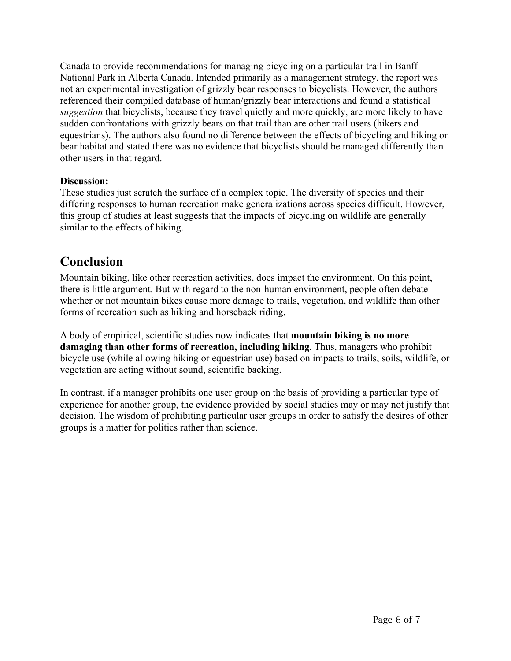Canada to provide recommendations for managing bicycling on a particular trail in Banff National Park in Alberta Canada. Intended primarily as a management strategy, the report was not an experimental investigation of grizzly bear responses to bicyclists. However, the authors referenced their compiled database of human/grizzly bear interactions and found a statistical *suggestion* that bicyclists, because they travel quietly and more quickly, are more likely to have sudden confrontations with grizzly bears on that trail than are other trail users (hikers and equestrians). The authors also found no difference between the effects of bicycling and hiking on bear habitat and stated there was no evidence that bicyclists should be managed differently than other users in that regard.

#### **Discussion:**

These studies just scratch the surface of a complex topic. The diversity of species and their differing responses to human recreation make generalizations across species difficult. However, this group of studies at least suggests that the impacts of bicycling on wildlife are generally similar to the effects of hiking.

### **Conclusion**

Mountain biking, like other recreation activities, does impact the environment. On this point, there is little argument. But with regard to the non-human environment, people often debate whether or not mountain bikes cause more damage to trails, vegetation, and wildlife than other forms of recreation such as hiking and horseback riding.

A body of empirical, scientific studies now indicates that **mountain biking is no more damaging than other forms of recreation, including hiking**. Thus, managers who prohibit bicycle use (while allowing hiking or equestrian use) based on impacts to trails, soils, wildlife, or vegetation are acting without sound, scientific backing.

In contrast, if a manager prohibits one user group on the basis of providing a particular type of experience for another group, the evidence provided by social studies may or may not justify that decision. The wisdom of prohibiting particular user groups in order to satisfy the desires of other groups is a matter for politics rather than science.